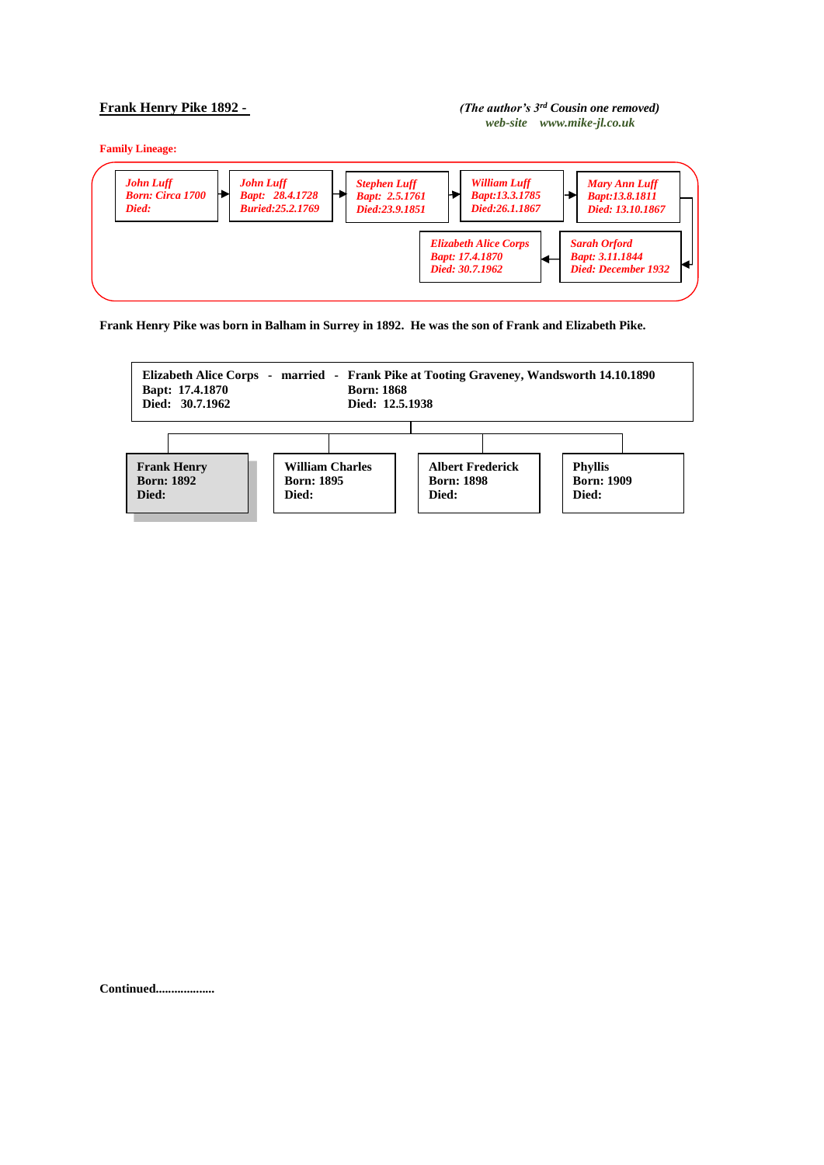## **Frank Henry Pike 1892 -** *(The author's 3rd Cousin one removed) web-site www.mike-jl.co.uk*

**Family Lineage:**



**Frank Henry Pike was born in Balham in Surrey in 1892. He was the son of Frank and Elizabeth Pike.**



**Continued...................**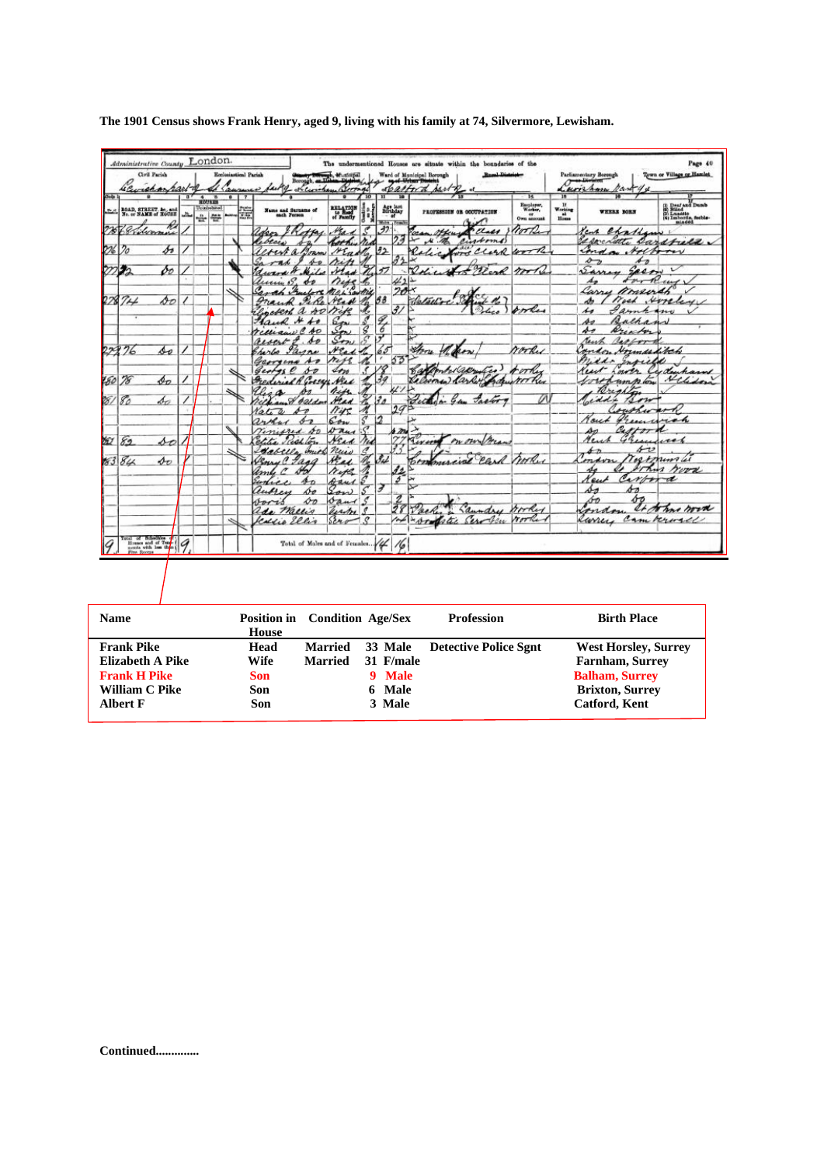|     |                                                                                                                                                                                                                                                                                                                                                                                                                                                                                                             | ROAD, STREET, &c., and<br>No. or NAME of HOUSE | مقتلما   | ROUND<br>Untelected |   | 漂 | Name and Surname of                    | RELATION           | 10            | $\overline{\mathbf{u}}$<br>$\frac{\Delta \mathcal{L}_1}{\Delta \mathcal{L}_2}$ | 19                       | PROFESSION OR OCCUPATION                        | Encyloyer,<br>Warker,                | $\begin{array}{c} \mathbf{U} \\ \mathbf{Working} \\ \mathbf{a} \\ \mathbf{B} \\ \mathbf{B} \\ \mathbf{B} \end{array}$ | WEERS BORN                                   | (i) Deaf and Dumb<br>(ii) Bilind<br>(ii) Lundille, feeble-<br>(4) Imborlis, feeble-<br>minded. |
|-----|-------------------------------------------------------------------------------------------------------------------------------------------------------------------------------------------------------------------------------------------------------------------------------------------------------------------------------------------------------------------------------------------------------------------------------------------------------------------------------------------------------------|------------------------------------------------|----------|---------------------|---|---|----------------------------------------|--------------------|---------------|--------------------------------------------------------------------------------|--------------------------|-------------------------------------------------|--------------------------------------|-----------------------------------------------------------------------------------------------------------------------|----------------------------------------------|------------------------------------------------------------------------------------------------|
|     |                                                                                                                                                                                                                                                                                                                                                                                                                                                                                                             | 70                                             |          | 山谷                  |   |   |                                        |                    | 8             | Main , Frank                                                                   |                          |                                                 | $\frac{\epsilon r}{0 \pi n}$ account |                                                                                                                       |                                              |                                                                                                |
|     | 2268 Elizamin                                                                                                                                                                                                                                                                                                                                                                                                                                                                                               |                                                |          |                     |   |   | deos                                   |                    | ₹             | $\overline{37}$                                                                | 23                       | Cases Work<br>Henry<br>$\mathcal{N}$<br>cintoms |                                      |                                                                                                                       | Yeah Chatham                                 |                                                                                                |
|     | 226 20                                                                                                                                                                                                                                                                                                                                                                                                                                                                                                      | s                                              |          |                     |   |   | Ceblais<br>evert a Boam                | both.<br>MEn.      |               | 92                                                                             |                          | Colic for clark work                            |                                      |                                                                                                                       | speciate sarsfuld.<br>inda                   | Hothory                                                                                        |
|     |                                                                                                                                                                                                                                                                                                                                                                                                                                                                                                             |                                                |          |                     |   |   | 40                                     |                    |               |                                                                                |                          |                                                 |                                      |                                                                                                                       | $\mathcal{L}_{\mathcal{D}}$<br>$\frac{1}{2}$ |                                                                                                |
|     | クツシ                                                                                                                                                                                                                                                                                                                                                                                                                                                                                                         | pо                                             |          |                     |   |   |                                        | Had la             |               | 57                                                                             |                          | for Clark mother                                |                                      |                                                                                                                       | Samo<br>Sacon                                | $\sim$                                                                                         |
|     |                                                                                                                                                                                                                                                                                                                                                                                                                                                                                                             |                                                |          |                     |   |   | unin 15.<br>o                          | nise               |               |                                                                                | 412                      |                                                 |                                      |                                                                                                                       |                                              | for Read                                                                                       |
|     |                                                                                                                                                                                                                                                                                                                                                                                                                                                                                                             |                                                |          |                     |   |   |                                        | <b>MALSOUTH</b>    |               |                                                                                | 20                       |                                                 |                                      |                                                                                                                       | Carry Moserah                                |                                                                                                |
|     | 27874                                                                                                                                                                                                                                                                                                                                                                                                                                                                                                       | sо                                             | $\prime$ |                     |   |   |                                        | read               |               | $\beta\beta$                                                                   |                          | 102.47<br>Waterio                               |                                      |                                                                                                                       | وهير                                         | Work Horeley                                                                                   |
|     |                                                                                                                                                                                                                                                                                                                                                                                                                                                                                                             |                                                |          |                     |   |   | weters a so                            |                    |               | 4                                                                              | $\overline{\mathcal{J}}$ | Police                                          | orles                                |                                                                                                                       | صکہ<br><i>I anna</i> in                      |                                                                                                |
|     |                                                                                                                                                                                                                                                                                                                                                                                                                                                                                                             |                                                |          |                     |   |   | Faur                                   |                    |               | 7                                                                              |                          |                                                 |                                      |                                                                                                                       | s<br>Bathan                                  |                                                                                                |
|     |                                                                                                                                                                                                                                                                                                                                                                                                                                                                                                             |                                                |          |                     |   |   | A <sub>D</sub><br>remain               | m<br>$S_{\tau\nu}$ | Ŝ             |                                                                                |                          |                                                 |                                      |                                                                                                                       | st<br>Arentor<br>reach                       |                                                                                                |
|     | 22376                                                                                                                                                                                                                                                                                                                                                                                                                                                                                                       | so                                             |          |                     |   |   | $\mathcal{A}$<br>$i$ cock of<br>Janne  | Nead               |               | 65                                                                             |                          | thru                                            | rarky                                |                                                                                                                       | Rachors<br>undon Hormandikch                 |                                                                                                |
|     |                                                                                                                                                                                                                                                                                                                                                                                                                                                                                                             |                                                |          |                     |   |   | serlo<br>Georgena<br>$A_{\mathcal{P}}$ | rise               |               |                                                                                | 53                       |                                                 |                                      |                                                                                                                       | $\lambda$<br>infiel                          |                                                                                                |
|     |                                                                                                                                                                                                                                                                                                                                                                                                                                                                                                             |                                                |          |                     |   |   | George C<br>so                         | 410                |               |                                                                                |                          | tes!                                            | rother                               |                                                                                                                       | ust<br>indr                                  | Cydenham                                                                                       |
|     | 280 78                                                                                                                                                                                                                                                                                                                                                                                                                                                                                                      | Фo                                             |          |                     |   |   | Frederick R Corser Neck                |                    |               |                                                                                |                          |                                                 |                                      |                                                                                                                       | rennploy                                     | Helidon                                                                                        |
|     |                                                                                                                                                                                                                                                                                                                                                                                                                                                                                                             |                                                |          |                     |   |   |                                        | Aise.              |               |                                                                                |                          |                                                 |                                      |                                                                                                                       | Brighton                                     |                                                                                                |
| 88/ | 80                                                                                                                                                                                                                                                                                                                                                                                                                                                                                                          | be                                             |          |                     |   |   | rich and belder                        | Head               |               |                                                                                |                          |                                                 |                                      |                                                                                                                       | Joeddie<br>12.11                             |                                                                                                |
|     |                                                                                                                                                                                                                                                                                                                                                                                                                                                                                                             |                                                |          |                     |   |   | toti a                                 | $n$ irc            |               |                                                                                | 29                       |                                                 |                                      |                                                                                                                       | outhward                                     |                                                                                                |
|     |                                                                                                                                                                                                                                                                                                                                                                                                                                                                                                             |                                                |          |                     |   |   | arthur<br>s-o                          | Son                |               | 12                                                                             |                          |                                                 |                                      |                                                                                                                       | Frence<br>rout                               | rich                                                                                           |
|     |                                                                                                                                                                                                                                                                                                                                                                                                                                                                                                             |                                                |          |                     |   |   | Viniored Do                            | Dans               |               |                                                                                | $\sum$                   |                                                 |                                      |                                                                                                                       | Cattern<br>An                                |                                                                                                |
| bû/ | 82                                                                                                                                                                                                                                                                                                                                                                                                                                                                                                          | sо                                             |          |                     |   |   | clifia Prestion                        | Nead               | red           |                                                                                | 22                       | Tirony on our free                              |                                      |                                                                                                                       | Acres<br>Game                                | un                                                                                             |
|     |                                                                                                                                                                                                                                                                                                                                                                                                                                                                                                             |                                                |          |                     |   |   | Labella                                | anich nuis         | $\mathcal{Q}$ |                                                                                |                          |                                                 |                                      |                                                                                                                       | sv<br>$\overline{A-B}$                       | Tostmumli                                                                                      |
|     | 83 84                                                                                                                                                                                                                                                                                                                                                                                                                                                                                                       | $\mathbf{\Phi}\mathbf{v}$                      |          |                     |   |   | Venue Lana                             | Head.              |               | 34                                                                             |                          | Commercial card hooks                           |                                      |                                                                                                                       | 277.12                                       | rood                                                                                           |
|     |                                                                                                                                                                                                                                                                                                                                                                                                                                                                                                             |                                                |          |                     |   |   | r<br>stol                              | Neth               | S             |                                                                                | 11<br>\$                 |                                                 |                                      |                                                                                                                       | Carbon<br>Keut                               | $\mathcal{A}$                                                                                  |
|     |                                                                                                                                                                                                                                                                                                                                                                                                                                                                                                             |                                                |          |                     |   |   | 分<br>$\overline{1}$<br>bо<br>luffer    | Band<br>Son        | s             | F                                                                              |                          |                                                 |                                      |                                                                                                                       | sэ<br>s                                      |                                                                                                |
|     |                                                                                                                                                                                                                                                                                                                                                                                                                                                                                                             |                                                |          |                     |   |   | DО<br>voris                            | band               |               |                                                                                |                          |                                                 |                                      |                                                                                                                       | bб<br>óo                                     |                                                                                                |
|     |                                                                                                                                                                                                                                                                                                                                                                                                                                                                                                             |                                                |          |                     |   |   | ada Mallio                             | Justry S           |               |                                                                                | 28                       | Laundry booker                                  |                                      |                                                                                                                       | man.                                         | It some word                                                                                   |
|     |                                                                                                                                                                                                                                                                                                                                                                                                                                                                                                             |                                                |          |                     | ë |   | Kaldie Ellis                           | 5240               | $\neg$ .      |                                                                                |                          | 100 - por fate Service                          | rooker                               |                                                                                                                       | luney cam rerusel                            |                                                                                                |
|     |                                                                                                                                                                                                                                                                                                                                                                                                                                                                                                             |                                                |          |                     |   |   |                                        |                    |               |                                                                                |                          |                                                 |                                      |                                                                                                                       |                                              |                                                                                                |
|     | $\begin{array}{ c c c c c }\n\hline\n\text{Total of Bessel} & \text{of } \mathcal{X} \text{ and } \mathcal{X} \text{ and } \mathcal{Y} \text{ and } \mathcal{Y} \text{ and } \mathcal{Y} \text{ and } \mathcal{Y} \text{ and } \mathcal{Y} \text{ and } \mathcal{Y} \text{ and } \mathcal{Y} \text{ and } \mathcal{Y} \text{ and } \mathcal{Y} \text{ and } \mathcal{Y} \text{ and } \mathcal{Y} \text{ and } \mathcal{Y} \text{ and } \mathcal{Y} \text{ and } \mathcal{Y} \text{ and } \mathcal{Y} \text$ |                                                |          |                     |   |   | Total of Males and of Females. 44      |                    |               |                                                                                | 16                       |                                                 |                                      |                                                                                                                       |                                              |                                                                                                |
|     |                                                                                                                                                                                                                                                                                                                                                                                                                                                                                                             |                                                |          |                     |   |   |                                        |                    |               |                                                                                |                          |                                                 |                                      |                                                                                                                       |                                              |                                                                                                |

**The 1901 Census shows Frank Henry, aged 9, living with his family at 74, Silvermore, Lewisham.** 

| <b>Name</b>         | <b>Position in</b> Condition Age/Sex<br>House |                |           | <b>Profession</b>            | <b>Birth Place</b>          |
|---------------------|-----------------------------------------------|----------------|-----------|------------------------------|-----------------------------|
| <b>Frank Pike</b>   | Head                                          | <b>Married</b> | 33 Male   | <b>Detective Police Sgnt</b> | <b>West Horsley, Surrey</b> |
| Elizabeth A Pike    | Wife                                          | <b>Married</b> | 31 F/male |                              | <b>Farnham, Surrey</b>      |
| <b>Frank H Pike</b> | <b>Son</b>                                    |                | 9 Male    |                              | <b>Balham, Surrey</b>       |
| William C Pike      | Son                                           |                | 6 Male    |                              | <b>Brixton, Surrey</b>      |
| <b>Albert F</b>     | Son                                           |                | 3 Male    |                              | <b>Catford, Kent</b>        |